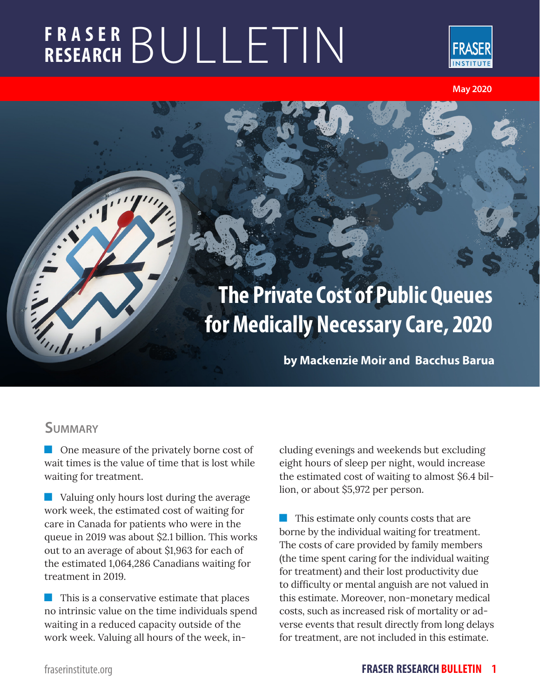# **FRASER RESEARCH** BULLETIN



**May 2020** 

# **The Private Cost of Public Queues for Medically Necessary Care, 2020**

**by Mackenzie Moir and Bacchus Barua**

### **Summary**

 $\blacksquare$ 

 $\blacklozenge$ 

**One measure of the privately borne cost of** wait times is the value of time that is lost while waiting for treatment.

**No. 3** Valuing only hours lost during the average work week, the estimated cost of waiting for care in Canada for patients who were in the queue in 2019 was about \$2.1 billion. This works out to an average of about \$1,963 for each of the estimated 1,064,286 Canadians waiting for treatment in 2019.

 $\blacksquare$  This is a conservative estimate that places no intrinsic value on the time individuals spend waiting in a reduced capacity outside of the work week. Valuing all hours of the week, including evenings and weekends but excluding eight hours of sleep per night, would increase the estimated cost of waiting to almost \$6.4 billion, or about \$5,972 per person.

**This estimate only counts costs that are** borne by the individual waiting for treatment. The costs of care provided by family members (the time spent caring for the individual waiting for treatment) and their lost productivity due to difficulty or mental anguish are not valued in this estimate. Moreover, non-monetary medical costs, such as increased risk of mortality or adverse events that result directly from long delays for treatment, are not included in this estimate.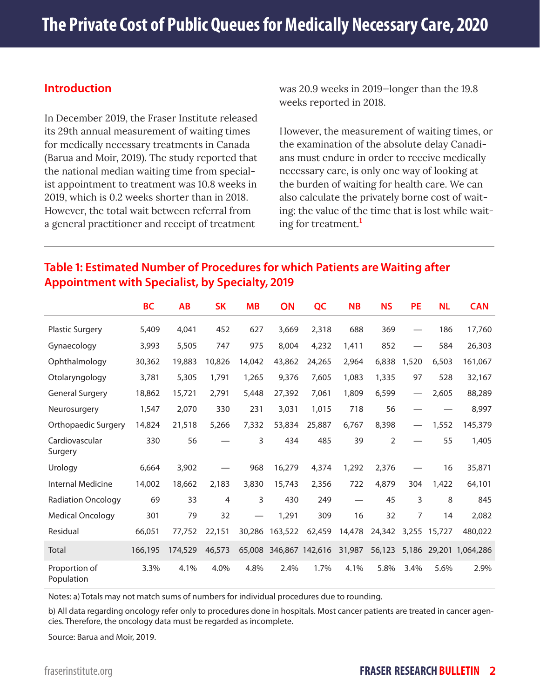#### **Introduction**

In December 2019, the Fraser Institute released its 29th annual measurement of waiting times for medically necessary treatments in Canada (Barua and Moir, 2019). The study reported that the national median waiting time from specialist appointment to treatment was 10.8 weeks in 2019, which is 0.2 weeks shorter than in 2018. However, the total wait between referral from a general practitioner and receipt of treatment

was 20.9 weeks in 2019—longer than the 19.8 weeks reported in 2018.

However, the measurement of waiting times, or the examination of the absolute delay Canadians must endure in order to receive medically necessary care, is only one way of looking at the burden of waiting for health care. We can also calculate the privately borne cost of waiting: the value of the time that is lost while waiting for treatment.**<sup>1</sup>**

#### **Table 1: Estimated Number of Procedures for which Patients are Waiting after Appointment with Specialist, by Specialty, 2019**

|                             | <b>BC</b> | <b>AB</b> | <b>SK</b>      | <b>MB</b> | ON                     | QC     | <b>NB</b> | <b>NS</b>      | <b>PE</b> | <b>NL</b> | <b>CAN</b> |
|-----------------------------|-----------|-----------|----------------|-----------|------------------------|--------|-----------|----------------|-----------|-----------|------------|
| <b>Plastic Surgery</b>      | 5,409     | 4,041     | 452            | 627       | 3,669                  | 2,318  | 688       | 369            |           | 186       | 17,760     |
| Gynaecology                 | 3,993     | 5,505     | 747            | 975       | 8,004                  | 4,232  | 1,411     | 852            |           | 584       | 26,303     |
| Ophthalmology               | 30,362    | 19,883    | 10,826         | 14,042    | 43,862                 | 24,265 | 2,964     | 6,838          | 1,520     | 6,503     | 161,067    |
| Otolaryngology              | 3,781     | 5,305     | 1,791          | 1,265     | 9,376                  | 7,605  | 1,083     | 1,335          | 97        | 528       | 32,167     |
| <b>General Surgery</b>      | 18,862    | 15,721    | 2,791          | 5,448     | 27,392                 | 7,061  | 1,809     | 6,599          |           | 2,605     | 88,289     |
| Neurosurgery                | 1,547     | 2,070     | 330            | 231       | 3,031                  | 1,015  | 718       | 56             |           |           | 8,997      |
| Orthopaedic Surgery         | 14,824    | 21,518    | 5,266          | 7,332     | 53,834                 | 25,887 | 6,767     | 8,398          |           | 1,552     | 145,379    |
| Cardiovascular<br>Surgery   | 330       | 56        |                | 3         | 434                    | 485    | 39        | $\overline{2}$ |           | 55        | 1,405      |
| Urology                     | 6,664     | 3,902     |                | 968       | 16,279                 | 4,374  | 1,292     | 2,376          |           | 16        | 35,871     |
| <b>Internal Medicine</b>    | 14,002    | 18,662    | 2,183          | 3,830     | 15,743                 | 2,356  | 722       | 4,879          | 304       | 1,422     | 64,101     |
| <b>Radiation Oncology</b>   | 69        | 33        | $\overline{4}$ | 3         | 430                    | 249    |           | 45             | 3         | 8         | 845        |
| <b>Medical Oncology</b>     | 301       | 79        | 32             |           | 1,291                  | 309    | 16        | 32             | 7         | 14        | 2,082      |
| Residual                    | 66,051    | 77,752    | 22,151         | 30,286    | 163,522                | 62,459 | 14,478    | 24,342         | 3,255     | 15,727    | 480,022    |
| Total                       | 166,195   | 174,529   | 46,573         |           | 65,008 346,867 142,616 |        | 31,987    | 56,123         | 5,186     | 29,201    | 1.064.286  |
| Proportion of<br>Population | 3.3%      | 4.1%      | 4.0%           | 4.8%      | 2.4%                   | 1.7%   | 4.1%      | 5.8%           | 3.4%      | 5.6%      | 2.9%       |

Notes: a) Totals may not match sums of numbers for individual procedures due to rounding.

b) All data regarding oncology refer only to procedures done in hospitals. Most cancer patients are treated in cancer agencies. Therefore, the oncology data must be regarded as incomplete.

Source: Barua and Moir, 2019.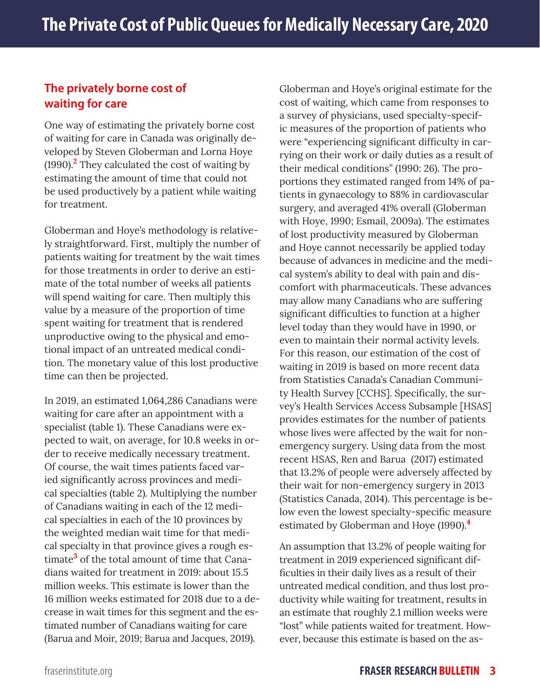#### **The privately borne cost of waiting for care**

One way of estimating the privately borne cost of waiting for care in Canada was originally developed by Steven Globerman and Lorna Hoye (1990).**<sup>2</sup>** They calculated the cost of waiting by estimating the amount of time that could not be used productively by a patient while waiting for treatment.

Globerman and Hoye's methodology is relatively straightforward. First, multiply the number of patients waiting for treatment by the wait times for those treatments in order to derive an estimate of the total number of weeks all patients will spend waiting for care. Then multiply this value by a measure of the proportion of time spent waiting for treatment that is rendered unproductive owing to the physical and emotional impact of an untreated medical condition. The monetary value of this lost productive time can then be projected.

In 2019, an estimated 1,064,286 Canadians were waiting for care after an appointment with a specialist (table 1). These Canadians were expected to wait, on average, for 10.8 weeks in order to receive medically necessary treatment. Of course, the wait times patients faced varied significantly across provinces and medical specialties (table 2). Multiplying the number of Canadians waiting in each of the 12 medical specialties in each of the 10 provinces by the weighted median wait time for that medical specialty in that province gives a rough estimate**<sup>3</sup>** of the total amount of time that Canadians waited for treatment in 2019: about 15.5 million weeks. This estimate is lower than the 16 million weeks estimated for 2018 due to a decrease in wait times for this segment and the estimated number of Canadians waiting for care (Barua and Moir, 2019; Barua and Jacques, 2019).

Globerman and Hoye's original estimate for the cost of waiting, which came from responses to a survey of physicians, used specialty-specific measures of the proportion of patients who were "experiencing significant difficulty in carrying on their work or daily duties as a result of their medical conditions" (1990: 26). The proportions they estimated ranged from 14% of patients in gynaecology to 88% in cardiovascular surgery, and averaged 41% overall (Globerman with Hoye, 1990; Esmail, 2009a). The estimates of lost productivity measured by Globerman and Hoye cannot necessarily be applied today because of advances in medicine and the medical system's ability to deal with pain and discomfort with pharmaceuticals. These advances may allow many Canadians who are suffering significant difficulties to function at a higher level today than they would have in 1990, or even to maintain their normal activity levels. For this reason, our estimation of the cost of waiting in 2019 is based on more recent data from Statistics Canada's Canadian Community Health Survey [CCHS]. Specifically, the survey's Health Services Access Subsample [HSAS] provides estimates for the number of patients whose lives were affected by the wait for nonemergency surgery. Using data from the most recent HSAS, Ren and Barua (2017) estimated that 13.2% of people were adversely affected by their wait for non-emergency surgery in 2013 (Statistics Canada, 2014). This percentage is below even the lowest specialty-specific measure estimated by Globerman and Hoye (1990).**<sup>4</sup>**

An assumption that 13.2% of people waiting for treatment in 2019 experienced significant difficulties in their daily lives as a result of their untreated medical condition, and thus lost productivity while waiting for treatment, results in an estimate that roughly 2.1 million weeks were "lost" while patients waited for treatment. However, because this estimate is based on the as-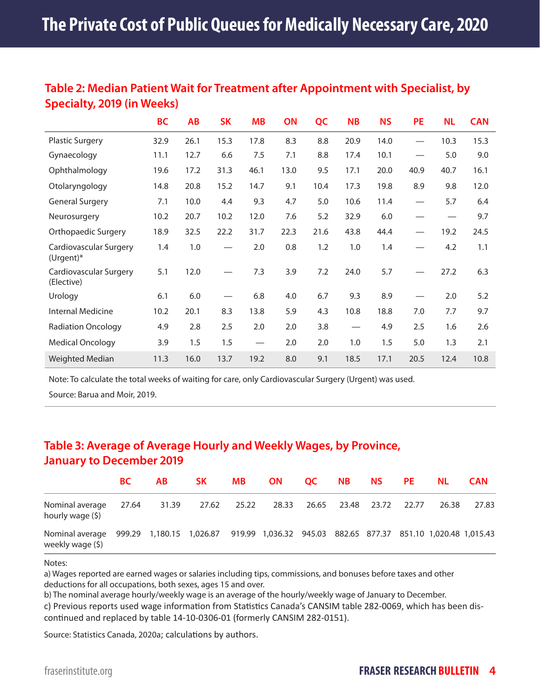#### **Table 2: Median Patient Wait for Treatment after Appointment with Specialist, by Specialty, 2019 (in Weeks)**

|                                       | <b>BC</b> | <b>AB</b> | <b>SK</b> | <b>MB</b>                                 | ON   | QC   | <b>NB</b> | <b>NS</b> | <b>PE</b>                | <b>NL</b>         | <b>CAN</b> |
|---------------------------------------|-----------|-----------|-----------|-------------------------------------------|------|------|-----------|-----------|--------------------------|-------------------|------------|
| <b>Plastic Surgery</b>                | 32.9      | 26.1      | 15.3      | 17.8                                      | 8.3  | 8.8  | 20.9      | 14.0      | $\equiv$                 | 10.3              | 15.3       |
| Gynaecology                           | 11.1      | 12.7      | 6.6       | 7.5                                       | 7.1  | 8.8  | 17.4      | 10.1      | $\overline{\phantom{0}}$ | 5.0               | 9.0        |
| Ophthalmology                         | 19.6      | 17.2      | 31.3      | 46.1                                      | 13.0 | 9.5  | 17.1      | 20.0      | 40.9                     | 40.7              | 16.1       |
| Otolaryngology                        | 14.8      | 20.8      | 15.2      | 14.7                                      | 9.1  | 10.4 | 17.3      | 19.8      | 8.9                      | 9.8               | 12.0       |
| <b>General Surgery</b>                | 7.1       | 10.0      | 4.4       | 9.3                                       | 4.7  | 5.0  | 10.6      | 11.4      |                          | 5.7               | 6.4        |
| Neurosurgery                          | 10.2      | 20.7      | 10.2      | 12.0                                      | 7.6  | 5.2  | 32.9      | 6.0       |                          | $\hspace{0.05cm}$ | 9.7        |
| Orthopaedic Surgery                   | 18.9      | 32.5      | 22.2      | 31.7                                      | 22.3 | 21.6 | 43.8      | 44.4      |                          | 19.2              | 24.5       |
| Cardiovascular Surgery<br>$(Urgent)*$ | 1.4       | 1.0       |           | 2.0                                       | 0.8  | 1.2  | 1.0       | 1.4       |                          | 4.2               | 1.1        |
| Cardiovascular Surgery<br>(Elective)  | 5.1       | 12.0      |           | 7.3                                       | 3.9  | 7.2  | 24.0      | 5.7       |                          | 27.2              | 6.3        |
| Urology                               | 6.1       | 6.0       |           | 6.8                                       | 4.0  | 6.7  | 9.3       | 8.9       |                          | 2.0               | 5.2        |
| Internal Medicine                     | 10.2      | 20.1      | 8.3       | 13.8                                      | 5.9  | 4.3  | 10.8      | 18.8      | 7.0                      | 7.7               | 9.7        |
| <b>Radiation Oncology</b>             | 4.9       | 2.8       | 2.5       | 2.0                                       | 2.0  | 3.8  |           | 4.9       | 2.5                      | 1.6               | 2.6        |
| <b>Medical Oncology</b>               | 3.9       | 1.5       | 1.5       | $\qquad \qquad \overline{\qquad \qquad }$ | 2.0  | 2.0  | 1.0       | 1.5       | 5.0                      | 1.3               | 2.1        |
| Weighted Median                       | 11.3      | 16.0      | 13.7      | 19.2                                      | 8.0  | 9.1  | 18.5      | 17.1      | 20.5                     | 12.4              | 10.8       |

Note: To calculate the total weeks of waiting for care, only Cardiovascular Surgery (Urgent) was used.

Source: Barua and Moir, 2019.

## **Table 3: Average of Average Hourly and Weekly Wages, by Province, January to December 2019**

|                                                                                                                            | BC.   | AB.   | SK –        | <b>MB</b> |       | ON OC NB |                         | NS 1999 and 1999 and 1999 and 1999 and 1999 and 1999 and 1999 and 1999 and 1999 and 1999 and 1999 and 1999 and 1999 and 1999 and 1999 and 1999 and 1999 and 1999 and 1999 and 1999 and 1999 and 1999 and 1999 and 1999 and 199 | <b>PE</b> | NL.   | <b>CAN</b> |
|----------------------------------------------------------------------------------------------------------------------------|-------|-------|-------------|-----------|-------|----------|-------------------------|--------------------------------------------------------------------------------------------------------------------------------------------------------------------------------------------------------------------------------|-----------|-------|------------|
| Nominal average<br>hourly wage (\$)                                                                                        | 27.64 | 31.39 | 27.62 25.22 |           | 28.33 |          | 26.65 23.48 23.72 22.77 |                                                                                                                                                                                                                                |           | 26.38 | 27.83      |
| Nominal average 999.29 1,180.15 1,026.87 919.99 1,036.32 945.03 882.65 877.37 851.10 1,020.48 1,015.43<br>weekly wage (\$) |       |       |             |           |       |          |                         |                                                                                                                                                                                                                                |           |       |            |

#### Notes:

a) Wages reported are earned wages or salaries including tips, commissions, and bonuses before taxes and other deductions for all occupations, both sexes, ages 15 and over.

b) The nominal average hourly/weekly wage is an average of the hourly/weekly wage of January to December.

c) Previous reports used wage information from Statistics Canada's CANSIM table 282-0069, which has been discontinued and replaced by table 14-10-0306-01 (formerly CANSIM 282-0151).

Source: Statistics Canada, 2020a; calculations by authors.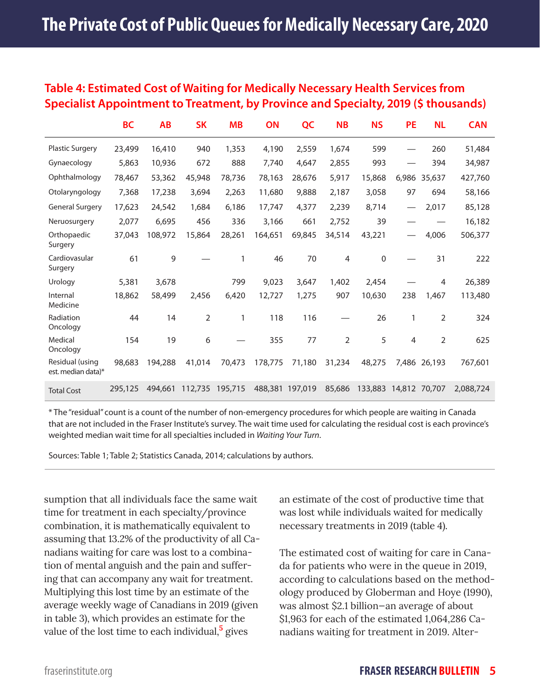#### **Table 4: Estimated Cost of Waiting for Medically Necessary Health Services from Specialist Appointment to Treatment, by Province and Specialty, 2019 (\$ thousands)**

|                                       | <b>BC</b> | <b>AB</b> | <b>SK</b> | <b>MB</b> | ON              | QC     | <b>NB</b>      | <b>NS</b>   | <b>PE</b>         | <b>NL</b>      | <b>CAN</b> |
|---------------------------------------|-----------|-----------|-----------|-----------|-----------------|--------|----------------|-------------|-------------------|----------------|------------|
| <b>Plastic Surgery</b>                | 23,499    | 16,410    | 940       | 1,353     | 4,190           | 2,559  | 1,674          | 599         |                   | 260            | 51,484     |
| Gynaecology                           | 5,863     | 10,936    | 672       | 888       | 7,740           | 4,647  | 2,855          | 993         |                   | 394            | 34,987     |
| Ophthalmology                         | 78,467    | 53,362    | 45,948    | 78,736    | 78,163          | 28,676 | 5,917          | 15,868      | 6,986             | 35,637         | 427,760    |
| Otolaryngology                        | 7,368     | 17,238    | 3,694     | 2,263     | 11,680          | 9,888  | 2,187          | 3,058       | 97                | 694            | 58,166     |
| <b>General Surgery</b>                | 17,623    | 24,542    | 1,684     | 6,186     | 17,747          | 4,377  | 2,239          | 8,714       | $\hspace{0.05cm}$ | 2,017          | 85,128     |
| Neruosurgery                          | 2,077     | 6,695     | 456       | 336       | 3,166           | 661    | 2,752          | 39          |                   |                | 16,182     |
| Orthopaedic<br>Surgery                | 37,043    | 108,972   | 15,864    | 28,261    | 164,651         | 69,845 | 34,514         | 43,221      |                   | 4,006          | 506,377    |
| Cardiovasular<br>Surgery              | 61        | 9         |           | 1         | 46              | 70     | $\overline{4}$ | $\mathbf 0$ |                   | 31             | 222        |
| Urology                               | 5,381     | 3,678     |           | 799       | 9,023           | 3,647  | 1,402          | 2,454       |                   | 4              | 26,389     |
| Internal<br>Medicine                  | 18,862    | 58,499    | 2,456     | 6,420     | 12,727          | 1,275  | 907            | 10,630      | 238               | 1,467          | 113,480    |
| Radiation<br>Oncology                 | 44        | 14        | 2         | 1         | 118             | 116    |                | 26          | 1                 | 2              | 324        |
| Medical<br>Oncology                   | 154       | 19        | 6         |           | 355             | 77     | $\overline{2}$ | 5           | 4                 | $\overline{2}$ | 625        |
| Residual (using<br>est. median data)* | 98,683    | 194,288   | 41,014    | 70,473    | 178,775         | 71,180 | 31,234         | 48,275      | 7,486             | 26,193         | 767,601    |
| <b>Total Cost</b>                     | 295,125   | 494,661   | 112,735   | 195,715   | 488,381 197,019 |        | 85,686         | 133,883     | 14,812            | 70,707         | 2,088,724  |

\* The "residual" count is a count of the number of non-emergency procedures for which people are waiting in Canada that are not included in the Fraser Institute's survey. The wait time used for calculating the residual cost is each province's weighted median wait time for all specialties included in *Waiting Your Turn*.

Sources: Table 1; Table 2; Statistics Canada, 2014; calculations by authors.

sumption that all individuals face the same wait time for treatment in each specialty/province combination, it is mathematically equivalent to assuming that 13.2% of the productivity of all Canadians waiting for care was lost to a combination of mental anguish and the pain and suffering that can accompany any wait for treatment. Multiplying this lost time by an estimate of the average weekly wage of Canadians in 2019 (given in table 3), which provides an estimate for the value of the lost time to each individual,**<sup>5</sup>** gives

an estimate of the cost of productive time that was lost while individuals waited for medically necessary treatments in 2019 (table 4).

The estimated cost of waiting for care in Canada for patients who were in the queue in 2019, according to calculations based on the methodology produced by Globerman and Hoye (1990), was almost \$2.1 billion—an average of about \$1,963 for each of the estimated 1,064,286 Canadians waiting for treatment in 2019. Alter-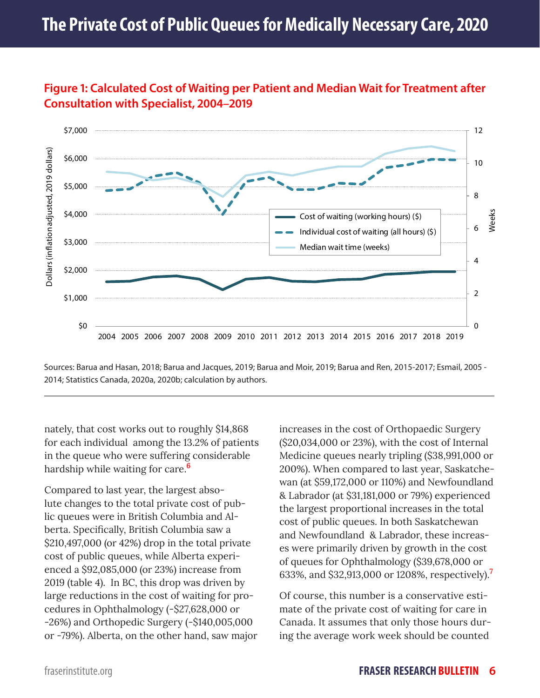

#### **Figure 1: Calculated Cost of Waiting per Patient and Median Wait for Treatment after Consultation with Specialist, 2004–2019**

Sources: Barua and Hasan, 2018; Barua and Jacques, 2019; Barua and Moir, 2019; Barua and Ren, 2015-2017; Esmail, 2005 - 2014; Statistics Canada, 2020a, 2020b; calculation by authors.

nately, that cost works out to roughly \$14,868 for each individual among the 13.2% of patients in the queue who were suffering considerable hardship while waiting for care.**<sup>6</sup>**

Compared to last year, the largest absolute changes to the total private cost of public queues were in British Columbia and Alberta. Specifically, British Columbia saw a \$210,497,000 (or 42%) drop in the total private cost of public queues, while Alberta experienced a \$92,085,000 (or 23%) increase from 2019 (table 4). In BC, this drop was driven by large reductions in the cost of waiting for procedures in Ophthalmology (-\$27,628,000 or -26%) and Orthopedic Surgery (-\$140,005,000 or -79%). Alberta, on the other hand, saw major increases in the cost of Orthopaedic Surgery (\$20,034,000 or 23%), with the cost of Internal Medicine queues nearly tripling (\$38,991,000 or 200%). When compared to last year, Saskatchewan (at \$59,172,000 or 110%) and Newfoundland & Labrador (at \$31,181,000 or 79%) experienced the largest proportional increases in the total cost of public queues. In both Saskatchewan and Newfoundland & Labrador, these increases were primarily driven by growth in the cost of queues for Ophthalmology (\$39,678,000 or 633%, and \$32,913,000 or 1208%, respectively).**<sup>7</sup>**

Of course, this number is a conservative estimate of the private cost of waiting for care in Canada. It assumes that only those hours during the average work week should be counted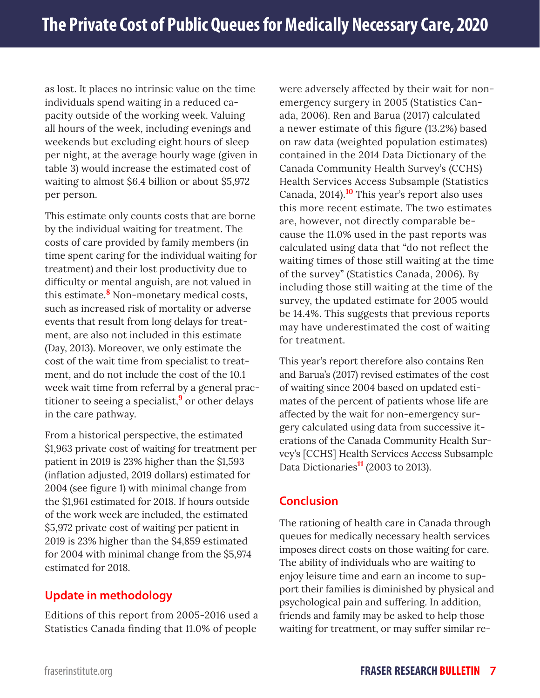as lost. It places no intrinsic value on the time individuals spend waiting in a reduced capacity outside of the working week. Valuing all hours of the week, including evenings and weekends but excluding eight hours of sleep per night, at the average hourly wage (given in table 3) would increase the estimated cost of waiting to almost \$6.4 billion or about \$5,972 per person.

This estimate only counts costs that are borne by the individual waiting for treatment. The costs of care provided by family members (in time spent caring for the individual waiting for treatment) and their lost productivity due to difficulty or mental anguish, are not valued in this estimate.**<sup>8</sup>** Non-monetary medical costs, such as increased risk of mortality or adverse events that result from long delays for treatment, are also not included in this estimate (Day, 2013). Moreover, we only estimate the cost of the wait time from specialist to treatment, and do not include the cost of the 10.1 week wait time from referral by a general practitioner to seeing a specialist,**9** or other delays in the care pathway.

From a historical perspective, the estimated \$1,963 private cost of waiting for treatment per patient in 2019 is 23% higher than the \$1,593 (inflation adjusted, 2019 dollars) estimated for 2004 (see figure 1) with minimal change from the \$1,961 estimated for 2018. If hours outside of the work week are included, the estimated \$5,972 private cost of waiting per patient in 2019 is 23% higher than the \$4,859 estimated for 2004 with minimal change from the \$5,974 estimated for 2018.

#### **Update in methodology**

Editions of this report from 2005-2016 used a Statistics Canada finding that 11.0% of people

were adversely affected by their wait for nonemergency surgery in 2005 (Statistics Canada, 2006). Ren and Barua (2017) calculated a newer estimate of this figure (13.2%) based on raw data (weighted population estimates) contained in the 2014 Data Dictionary of the Canada Community Health Survey's (CCHS) Health Services Access Subsample (Statistics Canada, 2014).**10** This year's report also uses this more recent estimate. The two estimates are, however, not directly comparable because the 11.0% used in the past reports was calculated using data that "do not reflect the waiting times of those still waiting at the time of the survey" (Statistics Canada, 2006). By including those still waiting at the time of the survey, the updated estimate for 2005 would be 14.4%. This suggests that previous reports may have underestimated the cost of waiting for treatment.

This year's report therefore also contains Ren and Barua's (2017) revised estimates of the cost of waiting since 2004 based on updated estimates of the percent of patients whose life are affected by the wait for non-emergency surgery calculated using data from successive iterations of the Canada Community Health Survey's [CCHS] Health Services Access Subsample Data Dictionaries**11** (2003 to 2013).

#### **Conclusion**

The rationing of health care in Canada through queues for medically necessary health services imposes direct costs on those waiting for care. The ability of individuals who are waiting to enjoy leisure time and earn an income to support their families is diminished by physical and psychological pain and suffering. In addition, friends and family may be asked to help those waiting for treatment, or may suffer similar re-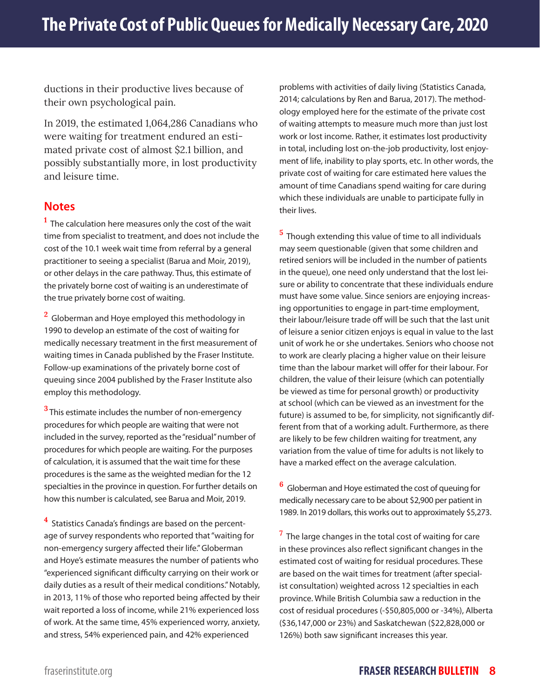ductions in their productive lives because of their own psychological pain.

In 2019, the estimated 1,064,286 Canadians who were waiting for treatment endured an estimated private cost of almost \$2.1 billion, and possibly substantially more, in lost productivity and leisure time.

#### **Notes**

**1** The calculation here measures only the cost of the wait time from specialist to treatment, and does not include the cost of the 10.1 week wait time from referral by a general practitioner to seeing a specialist (Barua and Moir, 2019), or other delays in the care pathway. Thus, this estimate of the privately borne cost of waiting is an underestimate of the true privately borne cost of waiting.

**<sup>2</sup>**Globerman and Hoye employed this methodology in 1990 to develop an estimate of the cost of waiting for medically necessary treatment in the first measurement of waiting times in Canada published by the Fraser Institute. Follow-up examinations of the privately borne cost of queuing since 2004 published by the Fraser Institute also employ this methodology.

**3** This estimate includes the number of non-emergency procedures for which people are waiting that were not included in the survey, reported as the "residual" number of procedures for which people are waiting. For the purposes of calculation, it is assumed that the wait time for these procedures is the same as the weighted median for the 12 specialties in the province in question. For further details on how this number is calculated, see Barua and Moir, 2019.

**<sup>4</sup>**Statistics Canada's findings are based on the percentage of survey respondents who reported that "waiting for non-emergency surgery affected their life." Globerman and Hoye's estimate measures the number of patients who "experienced significant difficulty carrying on their work or daily duties as a result of their medical conditions." Notably, in 2013, 11% of those who reported being affected by their wait reported a loss of income, while 21% experienced loss of work. At the same time, 45% experienced worry, anxiety, and stress, 54% experienced pain, and 42% experienced

problems with activities of daily living (Statistics Canada, 2014; calculations by Ren and Barua, 2017). The methodology employed here for the estimate of the private cost of waiting attempts to measure much more than just lost work or lost income. Rather, it estimates lost productivity in total, including lost on-the-job productivity, lost enjoyment of life, inability to play sports, etc. In other words, the private cost of waiting for care estimated here values the amount of time Canadians spend waiting for care during which these individuals are unable to participate fully in their lives.

**5** Though extending this value of time to all individuals may seem questionable (given that some children and retired seniors will be included in the number of patients in the queue), one need only understand that the lost leisure or ability to concentrate that these individuals endure must have some value. Since seniors are enjoying increasing opportunities to engage in part-time employment, their labour/leisure trade off will be such that the last unit of leisure a senior citizen enjoys is equal in value to the last unit of work he or she undertakes. Seniors who choose not to work are clearly placing a higher value on their leisure time than the labour market will offer for their labour. For children, the value of their leisure (which can potentially be viewed as time for personal growth) or productivity at school (which can be viewed as an investment for the future) is assumed to be, for simplicity, not significantly different from that of a working adult. Furthermore, as there are likely to be few children waiting for treatment, any variation from the value of time for adults is not likely to have a marked effect on the average calculation.

**6** Globerman and Hoye estimated the cost of queuing for medically necessary care to be about \$2,900 per patient in 1989. In 2019 dollars, this works out to approximately \$5,273.

**<sup>7</sup>**The large changes in the total cost of waiting for care in these provinces also reflect significant changes in the estimated cost of waiting for residual procedures. These are based on the wait times for treatment (after specialist consultation) weighted across 12 specialties in each province. While British Columbia saw a reduction in the cost of residual procedures (-\$50,805,000 or -34%), Alberta (\$36,147,000 or 23%) and Saskatchewan (\$22,828,000 or 126%) both saw significant increases this year.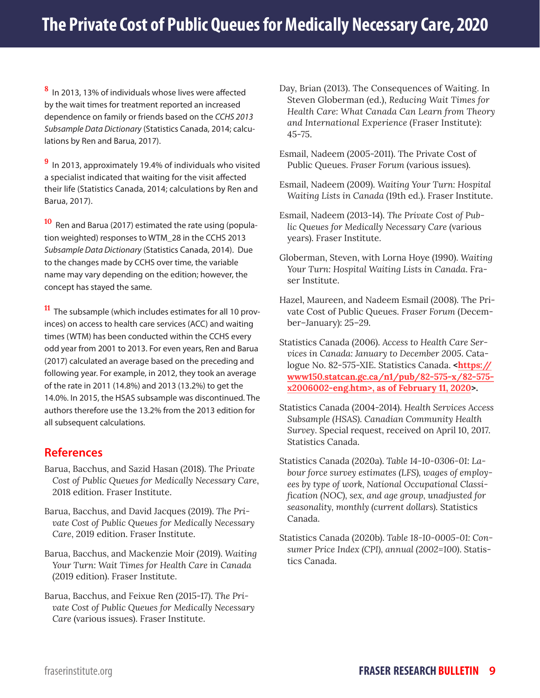**8** In 2013, 13% of individuals whose lives were affected by the wait times for treatment reported an increased dependence on family or friends based on the *CCHS 2013 Subsample Data Dictionary* (Statistics Canada, 2014; calculations by Ren and Barua, 2017).

**<sup>9</sup>**In 2013, approximately 19.4% of individuals who visited a specialist indicated that waiting for the visit affected their life (Statistics Canada, 2014; calculations by Ren and Barua, 2017).

**<sup>10</sup>** Ren and Barua (2017) estimated the rate using (population weighted) responses to WTM\_28 in the CCHS 2013 *Subsample Data Dictionary* (Statistics Canada, 2014). Due to the changes made by CCHS over time, the variable name may vary depending on the edition; however, the concept has stayed the same.

**<sup>11</sup>**The subsample (which includes estimates for all 10 provinces) on access to health care services (ACC) and waiting times (WTM) has been conducted within the CCHS every odd year from 2001 to 2013. For even years, Ren and Barua (2017) calculated an average based on the preceding and following year. For example, in 2012, they took an average of the rate in 2011 (14.8%) and 2013 (13.2%) to get the 14.0%. In 2015, the HSAS subsample was discontinued. The authors therefore use the 13.2% from the 2013 edition for all subsequent calculations.

#### **References**

- Barua, Bacchus, and Sazid Hasan (2018). *The Private Cost of Public Queues for Medically Necessary Care*, 2018 edition. Fraser Institute.
- Barua, Bacchus, and David Jacques (2019). *The Private Cost of Public Queues for Medically Necessary Care*, 2019 edition. Fraser Institute.
- Barua, Bacchus, and Mackenzie Moir (2019). *Waiting Your Turn: Wait Times for Health Care in Canada*  (2019 edition). Fraser Institute.
- Barua, Bacchus, and Feixue Ren (2015-17). *The Private Cost of Public Queues for Medically Necessary Care* (various issues). Fraser Institute.

Day, Brian (2013). The Consequences of Waiting. In Steven Globerman (ed.), *Reducing Wait Times for Health Care: What Canada Can Learn from Theory and International Experience* (Fraser Institute): 45-75.

- Esmail, Nadeem (2005-2011). The Private Cost of Public Queues. *Fraser Forum* (various issues).
- Esmail, Nadeem (2009). *Waiting Your Turn: Hospital Waiting Lists in Canada* (19th ed.). Fraser Institute.
- Esmail, Nadeem (2013-14). *The Private Cost of Public Queues for Medically Necessary Care* (various years). Fraser Institute.
- Globerman, Steven, with Lorna Hoye (1990). *Waiting Your Turn: Hospital Waiting Lists in Canada*. Fraser Institute.
- Hazel, Maureen, and Nadeem Esmail (2008). The Private Cost of Public Queues. *Fraser Forum* (December–January): 25–29.
- Statistics Canada (2006). *Access to Health Care Services in Canada: January to December 2005*. Catalogue No. 82-575-XIE. Statistics Canada. **<https:// www150.statcan.gc.ca/n1/pub/82-575-x/82-575 x2006002-eng.htm>, as of February 11, 2020>.**
- Statistics Canada (2004-2014). *Health Services Access Subsample (HSAS). Canadian Community Health Survey*. Special request, received on April 10, 2017. Statistics Canada.
- Statistics Canada (2020a). *Table 14-10-0306-01: Labour force survey estimates (LFS), wages of employees by type of work, National Occupational Classification (NOC), sex, and age group, unadjusted for seasonality, monthly (current dollars)*. Statistics Canada.
- Statistics Canada (2020b). *Table 18-10-0005-01: Consumer Price Index (CPI), annual (2002=100)*. Statistics Canada.